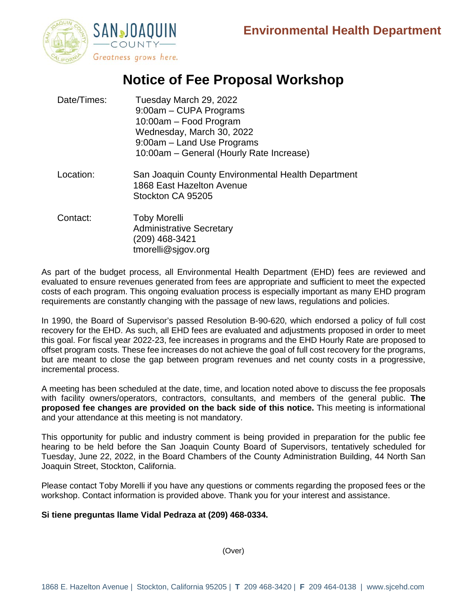

### **Notice of Fee Proposal Workshop**

| Date/Times: | Tuesday March 29, 2022<br>9:00am - CUPA Programs<br>10:00am - Food Program<br>Wednesday, March 30, 2022<br>9:00am - Land Use Programs<br>10:00am - General (Hourly Rate Increase) |
|-------------|-----------------------------------------------------------------------------------------------------------------------------------------------------------------------------------|
| Location:   | San Joaquin County Environmental Health Department<br>1868 East Hazelton Avenue<br>Stockton CA 95205                                                                              |
| Contact:    | <b>Toby Morelli</b><br><b>Administrative Secretary</b><br>(209) 468-3421                                                                                                          |

tmorelli@sjgov.org

As part of the budget process, all Environmental Health Department (EHD) fees are reviewed and evaluated to ensure revenues generated from fees are appropriate and sufficient to meet the expected costs of each program. This ongoing evaluation process is especially important as many EHD program requirements are constantly changing with the passage of new laws, regulations and policies.

In 1990, the Board of Supervisor's passed Resolution B-90-620, which endorsed a policy of full cost recovery for the EHD. As such, all EHD fees are evaluated and adjustments proposed in order to meet this goal. For fiscal year 2022-23, fee increases in programs and the EHD Hourly Rate are proposed to offset program costs. These fee increases do not achieve the goal of full cost recovery for the programs, but are meant to close the gap between program revenues and net county costs in a progressive, incremental process.

A meeting has been scheduled at the date, time, and location noted above to discuss the fee proposals with facility owners/operators, contractors, consultants, and members of the general public. **The proposed fee changes are provided on the back side of this notice.** This meeting is informational and your attendance at this meeting is not mandatory.

This opportunity for public and industry comment is being provided in preparation for the public fee hearing to be held before the San Joaquin County Board of Supervisors, tentatively scheduled for Tuesday, June 22, 2022, in the Board Chambers of the County Administration Building, 44 North San Joaquin Street, Stockton, California.

Please contact Toby Morelli if you have any questions or comments regarding the proposed fees or the workshop. Contact information is provided above. Thank you for your interest and assistance.

#### **Si tiene preguntas llame Vidal Pedraza at (209) 468-0334.**

(Over)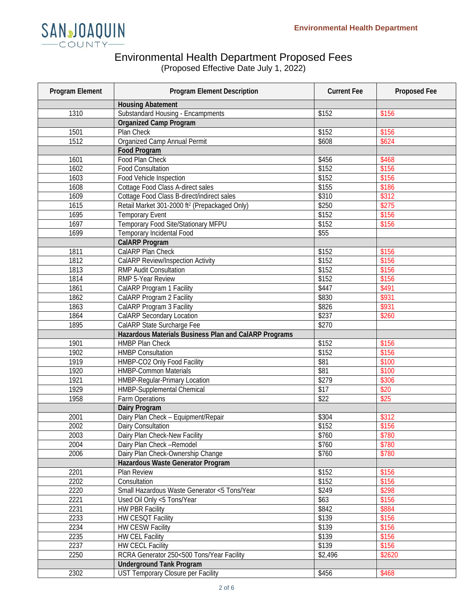

### Environmental Health Department Proposed Fees

(Proposed Effective Date July 1, 2022)

| Program Element | <b>Program Element Description</b>                        | <b>Current Fee</b> | Proposed Fee |
|-----------------|-----------------------------------------------------------|--------------------|--------------|
|                 | <b>Housing Abatement</b>                                  |                    |              |
| 1310            | <b>Substandard Housing - Encampments</b>                  | \$152              | \$156        |
|                 | <b>Organized Camp Program</b>                             |                    |              |
| 1501            | Plan Check                                                | \$152              | \$156        |
| 1512            | Organized Camp Annual Permit                              | \$608              | \$624        |
|                 | <b>Food Program</b>                                       |                    |              |
| 1601            | Food Plan Check                                           | \$456              | \$468        |
| 1602            | <b>Food Consultation</b>                                  | \$152              | \$156        |
| 1603            | Food Vehicle Inspection                                   | \$152              | \$156        |
| 1608            | Cottage Food Class A-direct sales                         | \$155              | \$186        |
| 1609            | Cottage Food Class B-direct/indirect sales                | \$310              | \$312        |
| 1615            | Retail Market 301-2000 ft <sup>2</sup> (Prepackaged Only) | \$250              | \$275        |
| 1695            | <b>Temporary Event</b>                                    | \$152              | \$156        |
| 1697            | Temporary Food Site/Stationary MFPU                       | \$152              | \$156        |
| 1699            | Temporary Incidental Food                                 | \$55               |              |
|                 | <b>CalARP Program</b>                                     |                    |              |
| 1811            | CalARP Plan Check                                         | \$152              | \$156        |
| 1812            | CalARP Review/Inspection Activity                         | \$152              | \$156        |
| 1813            | <b>RMP Audit Consultation</b>                             | \$152              | \$156        |
| 1814            | RMP 5-Year Review                                         | \$152              | \$156        |
| 1861            | CalARP Program 1 Facility                                 | \$447              | \$491        |
| 1862            | CalARP Program 2 Facility                                 | \$830              | \$931        |
| 1863            | CalARP Program 3 Facility                                 | \$826              | \$931        |
| 1864            | CalARP Secondary Location                                 | \$237              | \$260        |
| 1895            | CalARP State Surcharge Fee                                | \$270              |              |
|                 | Hazardous Materials Business Plan and CalARP Programs     |                    |              |
| 1901            | <b>HMBP Plan Check</b>                                    | \$152              | \$156        |
| 1902            | <b>HMBP Consultation</b>                                  | \$152              | \$156        |
| 1919            | HMBP-CO2 Only Food Facility                               | \$81               | \$100        |
| 1920            | <b>HMBP-Common Materials</b>                              | \$81               | \$100        |
| 1921            | HMBP-Regular-Primary Location                             | \$279              | \$306        |
| 1929            | <b>HMBP-Supplemental Chemical</b>                         | \$17               | \$20         |
| 1958            | Farm Operations                                           | \$22               | \$25         |
|                 | Dairy Program                                             |                    |              |
| 2001            | Dairy Plan Check - Equipment/Repair                       | \$304              | \$312        |
| 2002            | Dairy Consultation                                        | \$152              | \$156        |
| 2003            | Dairy Plan Check-New Facility                             | \$760              | \$780        |
| 2004            | Dairy Plan Check-Remodel                                  | \$760              | \$780        |
| 2006            | Dairy Plan Check-Ownership Change                         | \$760              | \$780        |
|                 | Hazardous Waste Generator Program                         |                    |              |
| 2201            | Plan Review                                               | \$152              | \$156        |
| 2202            | Consultation                                              | \$152              | \$156        |
| 2220            | Small Hazardous Waste Generator <5 Tons/Year              | \$249              | \$298        |
| 2221            | Used Oil Only <5 Tons/Year                                | \$63               | \$156        |
| 2231            | <b>HW PBR Facility</b>                                    | \$842              | \$884        |
| 2233            | HW CESQT Facility                                         | \$139              | \$156        |
| 2234            | <b>HW CESW Facility</b>                                   | \$139              | \$156        |
| 2235            | <b>HW CEL Facility</b>                                    | \$139              | \$156        |
| 2237            | <b>HW CECL Facility</b>                                   | \$139              | \$156        |
| 2250            | RCRA Generator 250<500 Tons/Year Facility                 | \$2,496            | \$2620       |
|                 | <b>Underground Tank Program</b>                           |                    |              |
| 2302            | UST Temporary Closure per Facility                        | \$456              | \$468        |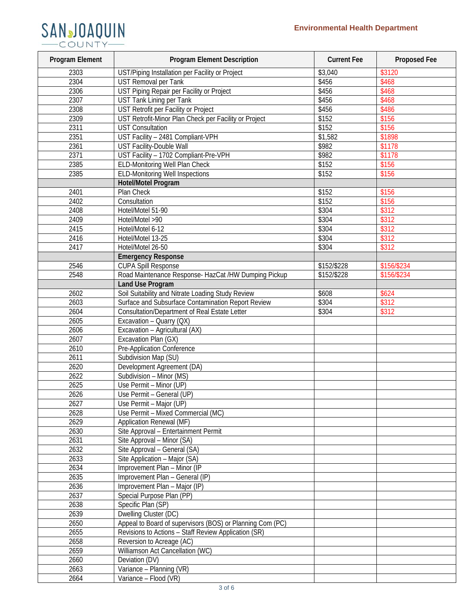# SANJOAQUIN

| Program Element | <b>Program Element Description</b>                        | <b>Current Fee</b> | Proposed Fee       |
|-----------------|-----------------------------------------------------------|--------------------|--------------------|
| 2303            | UST/Piping Installation per Facility or Project           | \$3,040            | \$3120             |
| 2304            | <b>UST Removal per Tank</b>                               | \$456              | \$468              |
| 2306            | UST Piping Repair per Facility or Project                 | \$456              | \$468              |
| 2307            | <b>UST Tank Lining per Tank</b>                           | \$456              | \$468              |
| 2308            | UST Retrofit per Facility or Project                      | \$456              | \$486              |
| 2309            | UST Retrofit-Minor Plan Check per Facility or Project     | \$152              | \$156              |
| 2311            | <b>UST Consultation</b>                                   | \$152              | \$156              |
| 2351            | UST Facility - 2481 Compliant-VPH                         | \$1,582            | \$1898             |
| 2361            | <b>UST Facility-Double Wall</b>                           | \$982              | $\overline{$1178}$ |
| 2371            | UST Facility - 1702 Compliant-Pre-VPH                     | \$982              | \$1178             |
| 2385            | ELD-Monitoring Well Plan Check                            | \$152              | \$156              |
| 2385            | <b>ELD-Monitoring Well Inspections</b>                    | \$152              | \$156              |
|                 | Hotel/Motel Program                                       |                    |                    |
| 2401            | Plan Check                                                | \$152              | \$156              |
| 2402            | Consultation                                              | \$152              | \$156              |
| 2408            | Hotel/Motel 51-90                                         | \$304              | \$312              |
| 2409            | Hotel/Motel >90                                           | \$304              | \$312              |
| 2415            | Hotel/Motel 6-12                                          | \$304              | \$312              |
| 2416            | Hotel/Motel 13-25                                         | \$304              | \$312              |
| 2417            | Hotel/Motel 26-50                                         | \$304              | \$312              |
|                 | <b>Emergency Response</b>                                 |                    |                    |
| 2546            | <b>CUPA Spill Response</b>                                | \$152/\$228        | \$156/\$234        |
| 2548            | Road Maintenance Response- HazCat /HW Dumping Pickup      | \$152/\$228        | \$156/\$234        |
|                 | <b>Land Use Program</b>                                   |                    |                    |
| 2602            | Soil Suitability and Nitrate Loading Study Review         | \$608              | \$624              |
| 2603            | Surface and Subsurface Contamination Report Review        | \$304              | \$312              |
| 2604            | Consultation/Department of Real Estate Letter             | \$304              | \$312              |
| 2605            | Excavation - Quarry (QX)                                  |                    |                    |
| 2606            | Excavation - Agricultural (AX)                            |                    |                    |
|                 |                                                           |                    |                    |
| 2607            | Excavation Plan (GX)                                      |                    |                    |
| 2610<br>2611    | Pre-Application Conference<br>Subdivision Map (SU)        |                    |                    |
|                 |                                                           |                    |                    |
| 2620<br>2622    | Development Agreement (DA)                                |                    |                    |
|                 | Subdivision - Minor (MS)                                  |                    |                    |
| 2625            | Use Permit - Minor (UP)                                   |                    |                    |
| 2626            | Use Permit - General (UP)                                 |                    |                    |
| 2627            | Use Permit - Major (UP)                                   |                    |                    |
| 2628            | Use Permit - Mixed Commercial (MC)                        |                    |                    |
| 2629            | Application Renewal (MF)                                  |                    |                    |
| 2630            | Site Approval - Entertainment Permit                      |                    |                    |
| 2631            | Site Approval - Minor (SA)                                |                    |                    |
| 2632            | Site Approval - General (SA)                              |                    |                    |
| 2633            | Site Application - Major (SA)                             |                    |                    |
| 2634            | Improvement Plan - Minor (IP                              |                    |                    |
| 2635            | Improvement Plan - General (IP)                           |                    |                    |
| 2636            | Improvement Plan - Major (IP)                             |                    |                    |
| 2637            | Special Purpose Plan (PP)                                 |                    |                    |
| 2638            | Specific Plan (SP)                                        |                    |                    |
| 2639            | Dwelling Cluster (DC)                                     |                    |                    |
| 2650            | Appeal to Board of supervisors (BOS) or Planning Com (PC) |                    |                    |
| 2655            | Revisions to Actions - Staff Review Application (SR)      |                    |                    |
| 2658            | Reversion to Acreage (AC)                                 |                    |                    |
| 2659            | Williamson Act Cancellation (WC)                          |                    |                    |
| 2660            | Deviation (DV)                                            |                    |                    |
| 2663            | Variance - Planning (VR)                                  |                    |                    |
| 2664            | Variance - Flood (VR)                                     |                    |                    |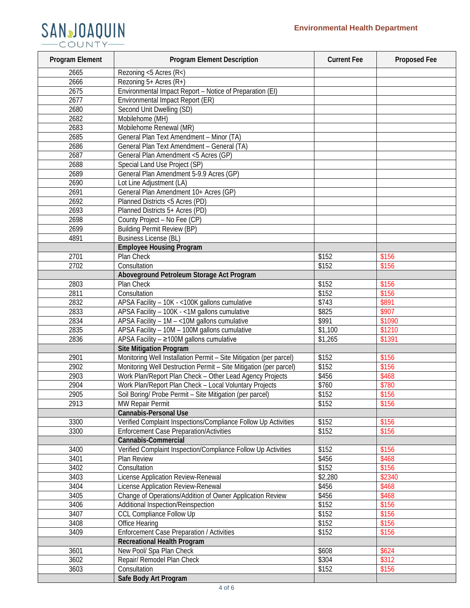

| Program Element | <b>Program Element Description</b>                                 | <b>Current Fee</b> | Proposed Fee |
|-----------------|--------------------------------------------------------------------|--------------------|--------------|
| 2665            | Rezoning <5 Acres (R<)                                             |                    |              |
| 2666            | Rezoning 5+ Acres (R+)                                             |                    |              |
| 2675            | Environmental Impact Report - Notice of Preparation (EI)           |                    |              |
| 2677            | Environmental Impact Report (ER)                                   |                    |              |
| 2680            | Second Unit Dwelling (SD)                                          |                    |              |
| 2682            | Mobilehome (MH)                                                    |                    |              |
| 2683            | Mobilehome Renewal (MR)                                            |                    |              |
| 2685            | General Plan Text Amendment - Minor (TA)                           |                    |              |
| 2686            | General Plan Text Amendment - General (TA)                         |                    |              |
| 2687            | General Plan Amendment <5 Acres (GP)                               |                    |              |
| 2688            | Special Land Use Project (SP)                                      |                    |              |
| 2689            | General Plan Amendment 5-9.9 Acres (GP)                            |                    |              |
| 2690            | Lot Line Adjustment (LA)                                           |                    |              |
| 2691            | General Plan Amendment 10+ Acres (GP)                              |                    |              |
| 2692            | Planned Districts <5 Acres (PD)                                    |                    |              |
| 2693            | Planned Districts 5+ Acres (PD)                                    |                    |              |
| 2698            | County Project - No Fee (CP)                                       |                    |              |
| 2699            | <b>Building Permit Review (BP)</b>                                 |                    |              |
| 4891            | <b>Business License (BL)</b>                                       |                    |              |
|                 | <b>Employee Housing Program</b>                                    |                    |              |
| 2701            | Plan Check                                                         | \$152              | \$156        |
| 2702            | Consultation                                                       | \$152              | \$156        |
|                 |                                                                    |                    |              |
|                 | Aboveground Petroleum Storage Act Program<br><b>Plan Check</b>     |                    |              |
| 2803            |                                                                    | \$152              | \$156        |
| 2811            | Consultation                                                       | \$152              | \$156        |
| 2832            | APSA Facility - 10K - < 100K gallons cumulative                    | \$743              | \$891        |
| 2833            | APSA Facility - 100K - <1M gallons cumulative                      | \$825              | \$907        |
| 2834            | APSA Facility $-1M - <10M$ gallons cumulative                      | \$991              | \$1090       |
| 2835            | APSA Facility - 10M - 100M gallons cumulative                      | \$1,100            | \$1210       |
| 2836            | APSA Facility - ≥100M gallons cumulative                           | \$1,265            | \$1391       |
|                 | <b>Site Mitigation Program</b>                                     |                    |              |
| 2901            | Monitoring Well Installation Permit - Site Mitigation (per parcel) | \$152              | \$156        |
| 2902            | Monitoring Well Destruction Permit - Site Mitigation (per parcel)  | \$152              | \$156        |
| 2903            | Work Plan/Report Plan Check - Other Lead Agency Projects           | \$456              | \$468        |
| 2904            | Work Plan/Report Plan Check - Local Voluntary Projects             | \$760              | \$780        |
| 2905            | Soil Boring/ Probe Permit - Site Mitigation (per parcel)           | \$152              | \$156        |
| 2913            | MW Repair Permit                                                   | \$152              | \$156        |
|                 | <b>Cannabis-Personal Use</b>                                       |                    |              |
| 3300            | Verified Complaint Inspections/Compliance Follow Up Activities     | \$152              | \$156        |
| 3300            | <b>Enforcement Case Preparation/Activities</b>                     | \$152              | \$156        |
|                 | Cannabis-Commercial                                                |                    |              |
| 3400            | Verified Complaint Inspection/Compliance Follow Up Activities      | \$152              | \$156        |
| 3401            | Plan Review                                                        | \$456              | \$468        |
| 3402            | Consultation                                                       | \$152              | \$156        |
| 3403            | License Application Review-Renewal                                 | \$2,280            | \$2340       |
| 3404            | License Application Review-Renewal                                 | \$456              | \$468        |
| 3405            | Change of Operations/Addition of Owner Application Review          | \$456              | \$468        |
| 3406            | Additional Inspection/Reinspection                                 | \$152              | \$156        |
| 3407            | <b>CCL Compliance Follow Up</b>                                    | \$152              | \$156        |
| 3408            | Office Hearing                                                     | \$152              | \$156        |
| 3409            | <b>Enforcement Case Preparation / Activities</b>                   | \$152              | \$156        |
|                 | <b>Recreational Health Program</b>                                 |                    |              |
| 3601            | New Pool/ Spa Plan Check                                           | \$608              | \$624        |
| 3602            | Repair/ Remodel Plan Check                                         | \$304              | \$312        |
| 3603            | Consultation                                                       | \$152              | \$156        |
|                 | Safe Body Art Program                                              |                    |              |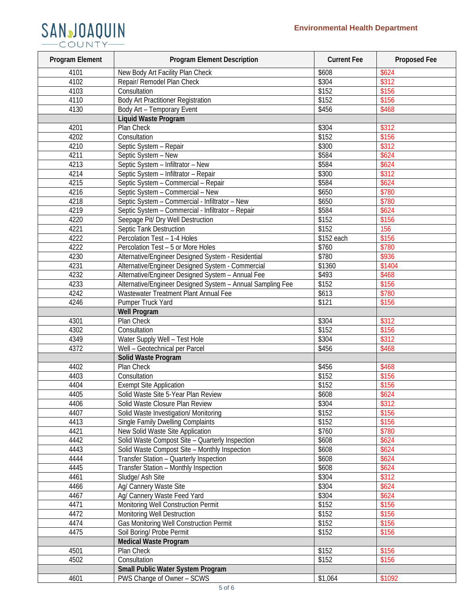# SANJOAQUIN

| Program Element | <b>Program Element Description</b>                                 | <b>Current Fee</b> | Proposed Fee |
|-----------------|--------------------------------------------------------------------|--------------------|--------------|
| 4101            | New Body Art Facility Plan Check                                   | \$608              | \$624        |
| 4102            | Repair/ Remodel Plan Check                                         | \$304              | \$312        |
| 4103            | Consultation                                                       | \$152              | \$156        |
| 4110            | <b>Body Art Practitioner Registration</b>                          | \$152              | \$156        |
| 4130            | Body Art - Temporary Event                                         | \$456              | \$468        |
|                 | Liquid Waste Program                                               |                    |              |
| 4201            | Plan Check                                                         | \$304              | \$312        |
| 4202            | Consultation                                                       | \$152              | \$156        |
| 4210            | Septic System - Repair                                             | \$300              | \$312        |
| 4211            | Septic System - New                                                | \$584              | \$624        |
| 4213            | Septic System - Infiltrator - New                                  | \$584              | \$624        |
| 4214            | Septic System - Infiltrator - Repair                               | \$300              | \$312        |
| 4215            | Septic System - Commercial - Repair                                | \$584              | \$624        |
| 4216            | Septic System - Commercial - New                                   | \$650              | \$780        |
| 4218            | Septic System - Commercial - Infiltrator - New                     | \$650              | \$780        |
| 4219            | Septic System - Commercial - Infiltrator - Repair                  | \$584              | \$624        |
| 4220            | Seepage Pit/ Dry Well Destruction                                  | \$152              | \$156        |
| 4221            | <b>Septic Tank Destruction</b>                                     | \$152              | 156          |
| 4222            | Percolation Test - 1-4 Holes                                       | \$152 each         | \$156        |
| 4222            | Percolation Test - 5 or More Holes                                 | \$760              | \$780        |
| 4230            | Alternative/Engineer Designed System - Residential                 | \$780              | \$936        |
| 4231            | Alternative/Engineer Designed System - Commercial                  | \$1360             | \$1404       |
| 4232            | Alternative/Engineer Designed System - Annual Fee                  | \$493              | \$468        |
| 4233            | Alternative/Engineer Designed System - Annual Sampling Fee         | \$152              | \$156        |
| 4242            | Wastewater Treatment Plant Annual Fee                              | \$613              | \$780        |
| 4246            | <b>Pumper Truck Yard</b>                                           | \$121              | \$156        |
|                 | <b>Well Program</b>                                                |                    |              |
| 4301            | Plan Check                                                         | \$304              | \$312        |
| 4302            | Consultation                                                       | \$152              | \$156        |
| 4349            | Water Supply Well - Test Hole                                      | \$304              | \$312        |
| 4372            | Well - Geotechnical per Parcel                                     | \$456              | \$468        |
|                 | Solid Waste Program                                                |                    |              |
| 4402            | Plan Check                                                         | \$456              | \$468        |
| 4403            | Consultation                                                       | \$152              | \$156        |
| 4404            | <b>Exempt Site Application</b>                                     | \$152              | \$156        |
| 4405            | Solid Waste Site 5-Year Plan Review                                | \$608              | \$624        |
| 4406            | Solid Waste Closure Plan Review                                    | \$304              | \$312        |
| 4407            | Solid Waste Investigation/ Monitoring                              | \$152              | \$156        |
| 4413            | <b>Single Family Dwelling Complaints</b>                           | \$152              | \$156        |
| 4421            | New Solid Waste Site Application                                   | \$760              | \$780        |
| 4442            | Solid Waste Compost Site - Quarterly Inspection                    | \$608              | \$624        |
| 4443            | Solid Waste Compost Site - Monthly Inspection                      | \$608              | \$624        |
| 4444            | Transfer Station - Quarterly Inspection                            | \$608              | \$624        |
| 4445            | Transfer Station - Monthly Inspection                              | \$608              | \$624        |
| 4461            | Sludge/ Ash Site                                                   | \$304              | \$312        |
| 4466            | Ag/ Cannery Waste Site                                             | \$304              | \$624        |
| 4467            | Ag/ Cannery Waste Feed Yard                                        | \$304              | \$624        |
| 4471            |                                                                    | \$152              | \$156        |
| 4472            | Monitoring Well Construction Permit<br>Monitoring Well Destruction | \$152              | \$156        |
| 4474            | Gas Monitoring Well Construction Permit                            | \$152              | \$156        |
|                 |                                                                    | \$152              |              |
| 4475            | Soil Boring/ Probe Permit                                          |                    | \$156        |
|                 | <b>Medical Waste Program</b>                                       |                    |              |
| 4501            | Plan Check                                                         | \$152              | \$156        |
| 4502            | Consultation                                                       | \$152              | \$156        |
|                 | Small Public Water System Program                                  |                    |              |
| 4601            | PWS Change of Owner - SCWS                                         | \$1,064            | \$1092       |